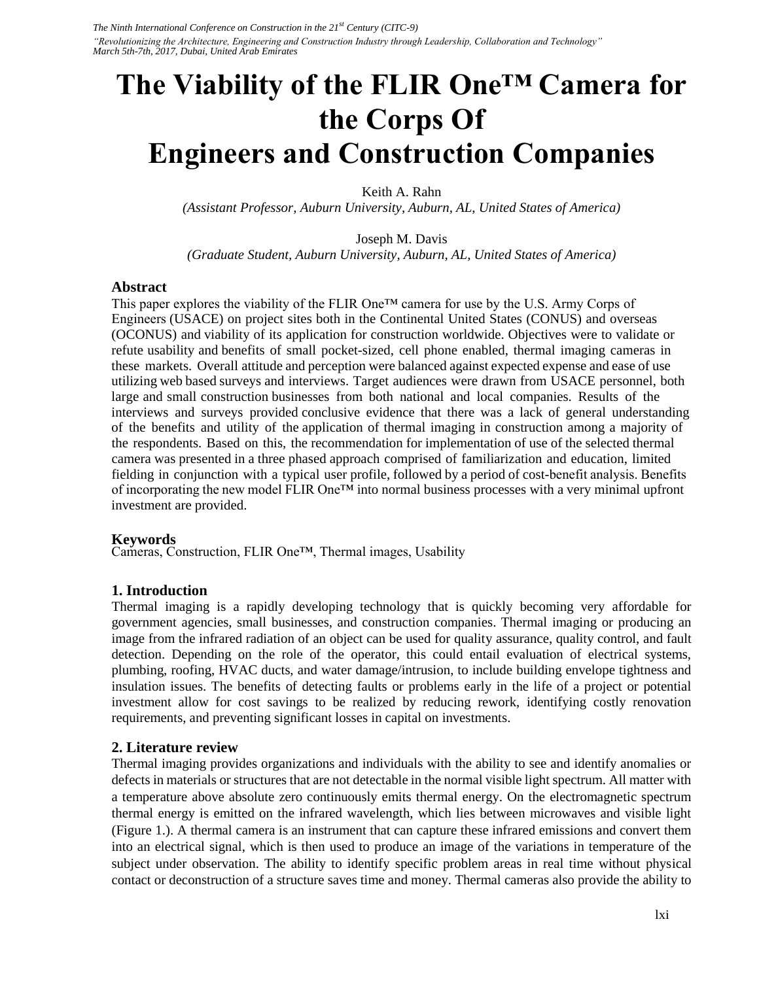# **The Viability of the FLIR One™ Camera for the Corps Of Engineers and Construction Companies**

Keith A. Rahn

*(Assistant Professor, Auburn University, Auburn, AL, United States of America)* 

Joseph M. Davis *(Graduate Student, Auburn University, Auburn, AL, United States of America)* 

#### **Abstract**

This paper explores the viability of the FLIR One<sup>™</sup> camera for use by the U.S. Army Corps of Engineers (USACE) on project sites both in the Continental United States (CONUS) and overseas (OCONUS) and viability of its application for construction worldwide. Objectives were to validate or refute usability and benefits of small pocket-sized, cell phone enabled, thermal imaging cameras in these markets. Overall attitude and perception were balanced against expected expense and ease of use utilizing web based surveys and interviews. Target audiences were drawn from USACE personnel, both large and small construction businesses from both national and local companies. Results of the interviews and surveys provided conclusive evidence that there was a lack of general understanding of the benefits and utility of the application of thermal imaging in construction among a majority of the respondents. Based on this, the recommendation for implementation of use of the selected thermal camera was presented in a three phased approach comprised of familiarization and education, limited fielding in conjunction with a typical user profile, followed by a period of cost-benefit analysis. Benefits of incorporating the new model FLIR One™ into normal business processes with a very minimal upfront investment are provided.

### **Keywords**

Cameras, Construction, FLIR One™, Thermal images, Usability

### **1. Introduction**

Thermal imaging is a rapidly developing technology that is quickly becoming very affordable for government agencies, small businesses, and construction companies. Thermal imaging or producing an image from the infrared radiation of an object can be used for quality assurance, quality control, and fault detection. Depending on the role of the operator, this could entail evaluation of electrical systems, plumbing, roofing, HVAC ducts, and water damage/intrusion, to include building envelope tightness and insulation issues. The benefits of detecting faults or problems early in the life of a project or potential investment allow for cost savings to be realized by reducing rework, identifying costly renovation requirements, and preventing significant losses in capital on investments.

### **2. Literature review**

Thermal imaging provides organizations and individuals with the ability to see and identify anomalies or defects in materials or structures that are not detectable in the normal visible light spectrum. All matter with a temperature above absolute zero continuously emits thermal energy. On the electromagnetic spectrum thermal energy is emitted on the infrared wavelength, which lies between microwaves and visible light (Figure 1.). A thermal camera is an instrument that can capture these infrared emissions and convert them into an electrical signal, which is then used to produce an image of the variations in temperature of the subject under observation. The ability to identify specific problem areas in real time without physical contact or deconstruction of a structure saves time and money. Thermal cameras also provide the ability to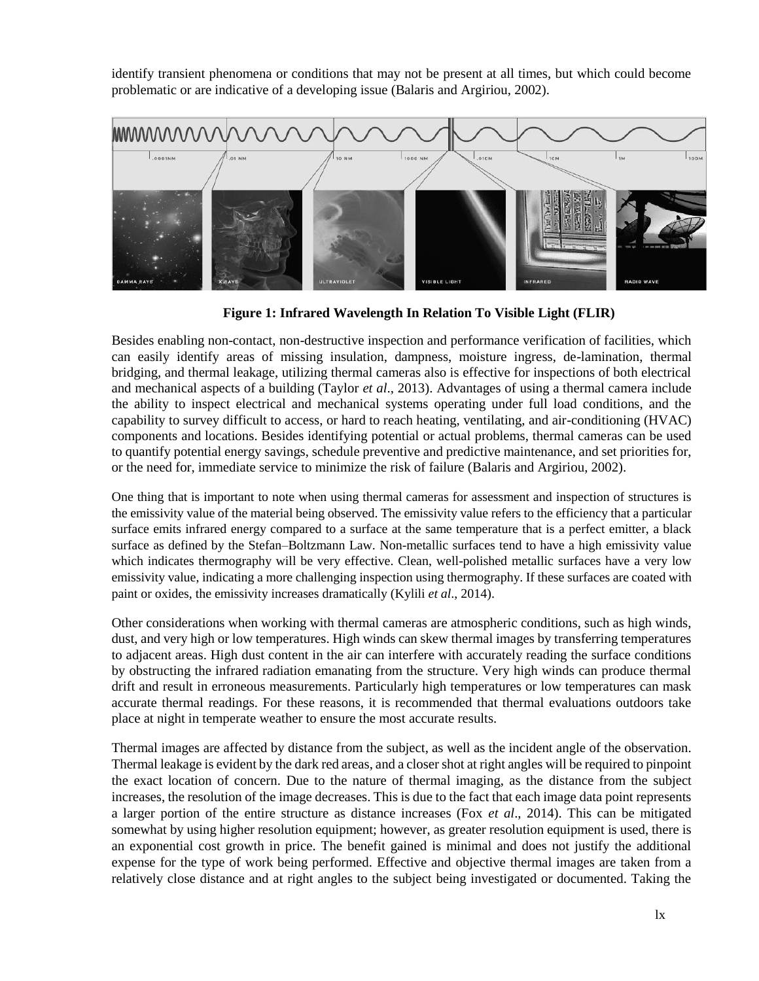identify transient phenomena or conditions that may not be present at all times, but which could become problematic or are indicative of a developing issue (Balaris and Argiriou, 2002).



**Figure 1: Infrared Wavelength In Relation To Visible Light (FLIR)**

Besides enabling non-contact, non-destructive inspection and performance verification of facilities, which can easily identify areas of missing insulation, dampness, moisture ingress, de-lamination, thermal bridging, and thermal leakage, utilizing thermal cameras also is effective for inspections of both electrical and mechanical aspects of a building (Taylor *et al*., 2013). Advantages of using a thermal camera include the ability to inspect electrical and mechanical systems operating under full load conditions, and the capability to survey difficult to access, or hard to reach heating, ventilating, and air-conditioning (HVAC) components and locations. Besides identifying potential or actual problems, thermal cameras can be used to quantify potential energy savings, schedule preventive and predictive maintenance, and set priorities for, or the need for, immediate service to minimize the risk of failure (Balaris and Argiriou, 2002).

One thing that is important to note when using thermal cameras for assessment and inspection of structures is the emissivity value of the material being observed. The emissivity value refers to the efficiency that a particular surface emits infrared energy compared to a surface at the same temperature that is a perfect emitter, a black surface as defined by the Stefan–Boltzmann Law. Non-metallic surfaces tend to have a high emissivity value which indicates thermography will be very effective. Clean, well-polished metallic surfaces have a very low emissivity value, indicating a more challenging inspection using thermography. If these surfaces are coated with paint or oxides, the emissivity increases dramatically (Kylili *et al*., 2014).

Other considerations when working with thermal cameras are atmospheric conditions, such as high winds, dust, and very high or low temperatures. High winds can skew thermal images by transferring temperatures to adjacent areas. High dust content in the air can interfere with accurately reading the surface conditions by obstructing the infrared radiation emanating from the structure. Very high winds can produce thermal drift and result in erroneous measurements. Particularly high temperatures or low temperatures can mask accurate thermal readings. For these reasons, it is recommended that thermal evaluations outdoors take place at night in temperate weather to ensure the most accurate results.

Thermal images are affected by distance from the subject, as well as the incident angle of the observation. Thermal leakage is evident by the dark red areas, and a closer shot at right angles will be required to pinpoint the exact location of concern. Due to the nature of thermal imaging, as the distance from the subject increases, the resolution of the image decreases. This is due to the fact that each image data point represents a larger portion of the entire structure as distance increases (Fox *et al*., 2014). This can be mitigated somewhat by using higher resolution equipment; however, as greater resolution equipment is used, there is an exponential cost growth in price. The benefit gained is minimal and does not justify the additional expense for the type of work being performed. Effective and objective thermal images are taken from a relatively close distance and at right angles to the subject being investigated or documented. Taking the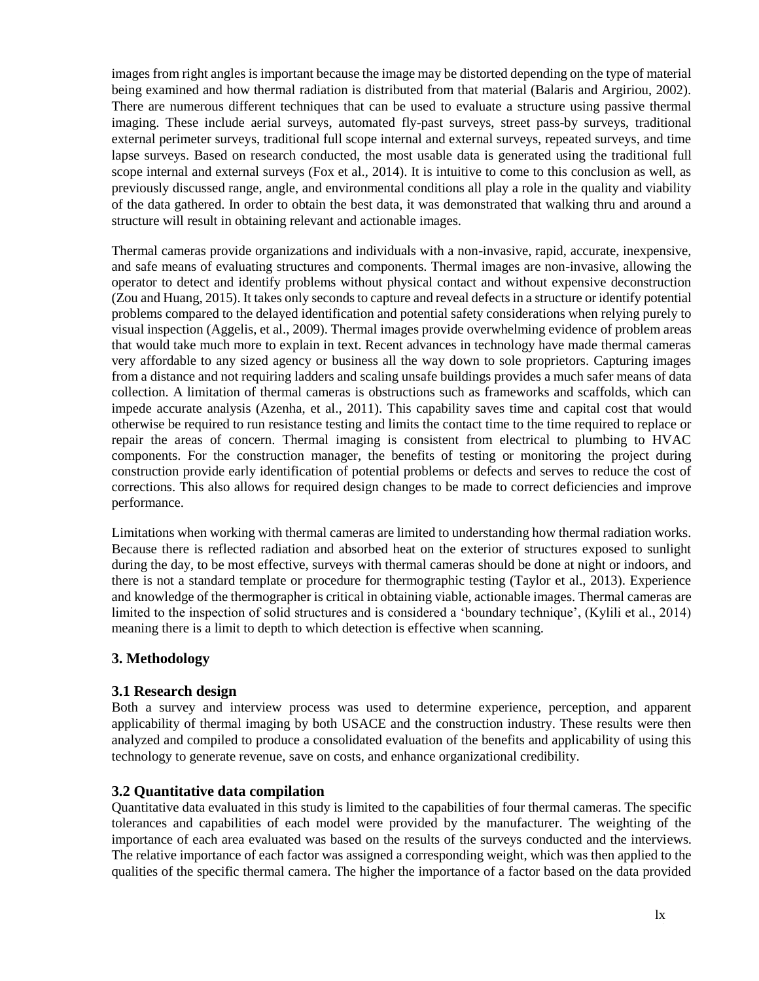images from right angles is important because the image may be distorted depending on the type of material being examined and how thermal radiation is distributed from that material (Balaris and Argiriou, 2002). There are numerous different techniques that can be used to evaluate a structure using passive thermal imaging. These include aerial surveys, automated fly-past surveys, street pass-by surveys, traditional external perimeter surveys, traditional full scope internal and external surveys, repeated surveys, and time lapse surveys. Based on research conducted, the most usable data is generated using the traditional full scope internal and external surveys (Fox et al., 2014). It is intuitive to come to this conclusion as well, as previously discussed range, angle, and environmental conditions all play a role in the quality and viability of the data gathered. In order to obtain the best data, it was demonstrated that walking thru and around a structure will result in obtaining relevant and actionable images.

Thermal cameras provide organizations and individuals with a non-invasive, rapid, accurate, inexpensive, and safe means of evaluating structures and components. Thermal images are non-invasive, allowing the operator to detect and identify problems without physical contact and without expensive deconstruction (Zou and Huang, 2015). It takes only seconds to capture and reveal defects in a structure or identify potential problems compared to the delayed identification and potential safety considerations when relying purely to visual inspection (Aggelis, et al., 2009). Thermal images provide overwhelming evidence of problem areas that would take much more to explain in text. Recent advances in technology have made thermal cameras very affordable to any sized agency or business all the way down to sole proprietors. Capturing images from a distance and not requiring ladders and scaling unsafe buildings provides a much safer means of data collection. A limitation of thermal cameras is obstructions such as frameworks and scaffolds, which can impede accurate analysis (Azenha, et al., 2011). This capability saves time and capital cost that would otherwise be required to run resistance testing and limits the contact time to the time required to replace or repair the areas of concern. Thermal imaging is consistent from electrical to plumbing to HVAC components. For the construction manager, the benefits of testing or monitoring the project during construction provide early identification of potential problems or defects and serves to reduce the cost of corrections. This also allows for required design changes to be made to correct deficiencies and improve performance.

Limitations when working with thermal cameras are limited to understanding how thermal radiation works. Because there is reflected radiation and absorbed heat on the exterior of structures exposed to sunlight during the day, to be most effective, surveys with thermal cameras should be done at night or indoors, and there is not a standard template or procedure for thermographic testing (Taylor et al., 2013). Experience and knowledge of the thermographer is critical in obtaining viable, actionable images. Thermal cameras are limited to the inspection of solid structures and is considered a 'boundary technique', (Kylili et al., 2014) meaning there is a limit to depth to which detection is effective when scanning.

# **3. Methodology**

### **3.1 Research design**

Both a survey and interview process was used to determine experience, perception, and apparent applicability of thermal imaging by both USACE and the construction industry. These results were then analyzed and compiled to produce a consolidated evaluation of the benefits and applicability of using this technology to generate revenue, save on costs, and enhance organizational credibility.

# **3.2 Quantitative data compilation**

Quantitative data evaluated in this study is limited to the capabilities of four thermal cameras. The specific tolerances and capabilities of each model were provided by the manufacturer. The weighting of the importance of each area evaluated was based on the results of the surveys conducted and the interviews. The relative importance of each factor was assigned a corresponding weight, which was then applied to the qualities of the specific thermal camera. The higher the importance of a factor based on the data provided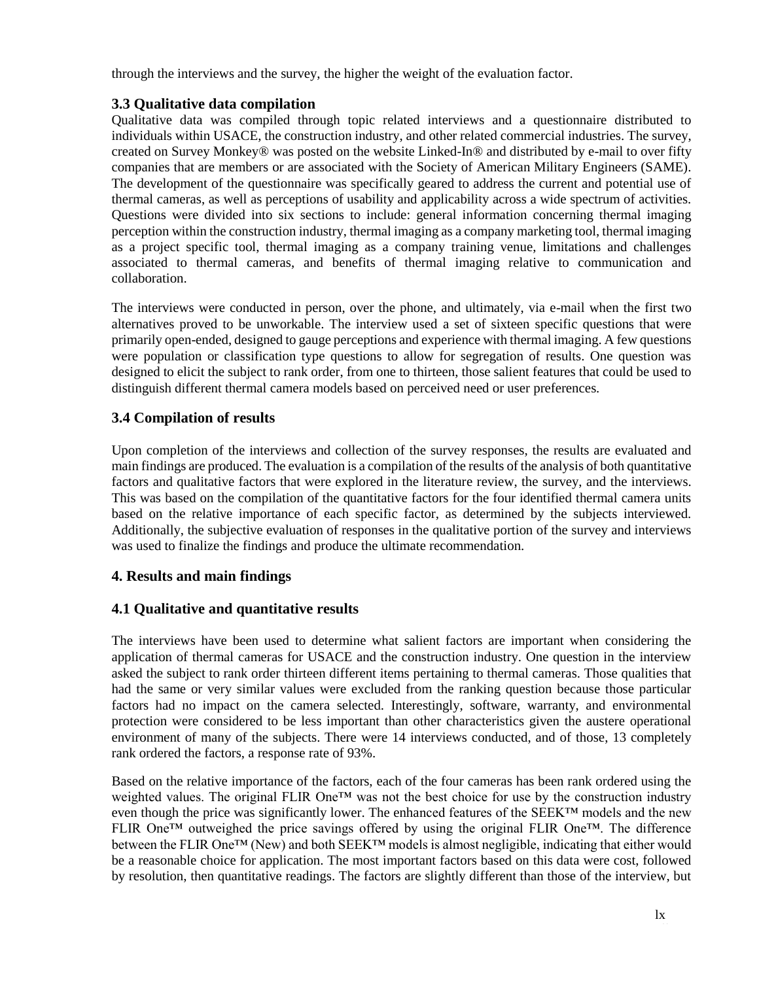through the interviews and the survey, the higher the weight of the evaluation factor.

## **3.3 Qualitative data compilation**

Qualitative data was compiled through topic related interviews and a questionnaire distributed to individuals within USACE, the construction industry, and other related commercial industries. The survey, created on Survey Monkey® was posted on the website Linked-In® and distributed by e-mail to over fifty companies that are members or are associated with the Society of American Military Engineers (SAME). The development of the questionnaire was specifically geared to address the current and potential use of thermal cameras, as well as perceptions of usability and applicability across a wide spectrum of activities. Questions were divided into six sections to include: general information concerning thermal imaging perception within the construction industry, thermal imaging as a company marketing tool, thermal imaging as a project specific tool, thermal imaging as a company training venue, limitations and challenges associated to thermal cameras, and benefits of thermal imaging relative to communication and collaboration.

The interviews were conducted in person, over the phone, and ultimately, via e-mail when the first two alternatives proved to be unworkable. The interview used a set of sixteen specific questions that were primarily open-ended, designed to gauge perceptions and experience with thermal imaging. A few questions were population or classification type questions to allow for segregation of results. One question was designed to elicit the subject to rank order, from one to thirteen, those salient features that could be used to distinguish different thermal camera models based on perceived need or user preferences.

# **3.4 Compilation of results**

Upon completion of the interviews and collection of the survey responses, the results are evaluated and main findings are produced. The evaluation is a compilation of the results of the analysis of both quantitative factors and qualitative factors that were explored in the literature review, the survey, and the interviews. This was based on the compilation of the quantitative factors for the four identified thermal camera units based on the relative importance of each specific factor, as determined by the subjects interviewed. Additionally, the subjective evaluation of responses in the qualitative portion of the survey and interviews was used to finalize the findings and produce the ultimate recommendation.

# **4. Results and main findings**

# **4.1 Qualitative and quantitative results**

The interviews have been used to determine what salient factors are important when considering the application of thermal cameras for USACE and the construction industry. One question in the interview asked the subject to rank order thirteen different items pertaining to thermal cameras. Those qualities that had the same or very similar values were excluded from the ranking question because those particular factors had no impact on the camera selected. Interestingly, software, warranty, and environmental protection were considered to be less important than other characteristics given the austere operational environment of many of the subjects. There were 14 interviews conducted, and of those, 13 completely rank ordered the factors, a response rate of 93%.

Based on the relative importance of the factors, each of the four cameras has been rank ordered using the weighted values. The original FLIR One™ was not the best choice for use by the construction industry even though the price was significantly lower. The enhanced features of the SEEK™ models and the new FLIR One™ outweighed the price savings offered by using the original FLIR One™. The difference between the FLIR One<sup>™</sup> (New) and both SEEK™ models is almost negligible, indicating that either would be a reasonable choice for application. The most important factors based on this data were cost, followed by resolution, then quantitative readings. The factors are slightly different than those of the interview, but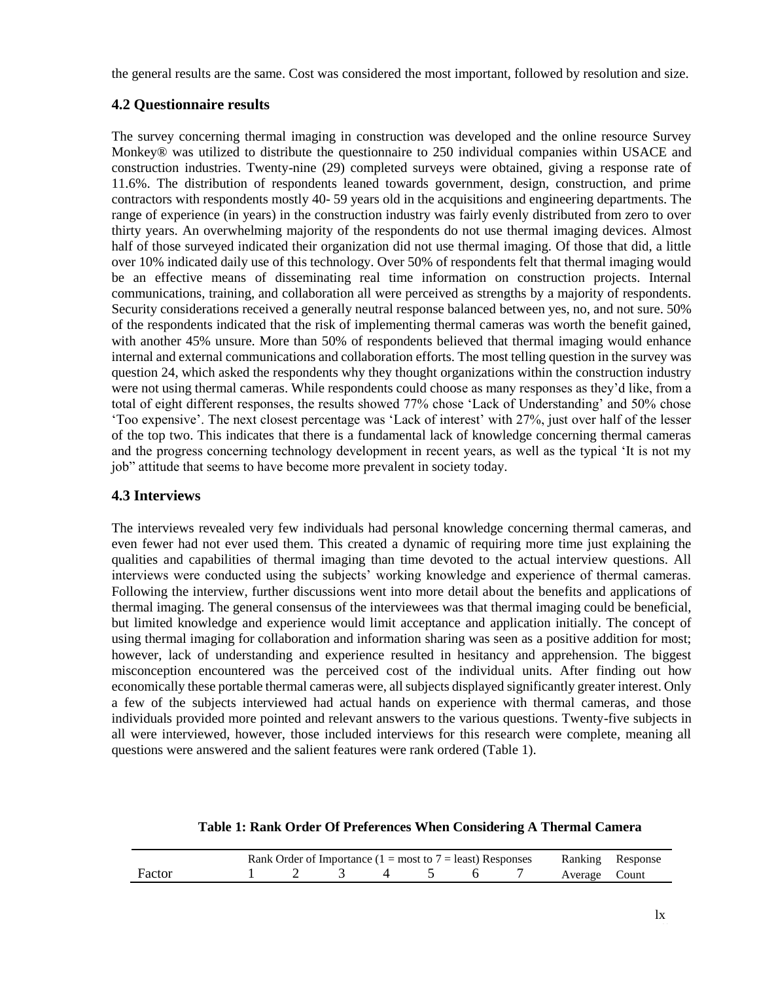the general results are the same. Cost was considered the most important, followed by resolution and size.

## **4.2 Questionnaire results**

The survey concerning thermal imaging in construction was developed and the online resource Survey Monkey® was utilized to distribute the questionnaire to 250 individual companies within USACE and construction industries. Twenty-nine (29) completed surveys were obtained, giving a response rate of 11.6%. The distribution of respondents leaned towards government, design, construction, and prime contractors with respondents mostly 40- 59 years old in the acquisitions and engineering departments. The range of experience (in years) in the construction industry was fairly evenly distributed from zero to over thirty years. An overwhelming majority of the respondents do not use thermal imaging devices. Almost half of those surveyed indicated their organization did not use thermal imaging. Of those that did, a little over 10% indicated daily use of this technology. Over 50% of respondents felt that thermal imaging would be an effective means of disseminating real time information on construction projects. Internal communications, training, and collaboration all were perceived as strengths by a majority of respondents. Security considerations received a generally neutral response balanced between yes, no, and not sure. 50% of the respondents indicated that the risk of implementing thermal cameras was worth the benefit gained, with another 45% unsure. More than 50% of respondents believed that thermal imaging would enhance internal and external communications and collaboration efforts. The most telling question in the survey was question 24, which asked the respondents why they thought organizations within the construction industry were not using thermal cameras. While respondents could choose as many responses as they'd like, from a total of eight different responses, the results showed 77% chose 'Lack of Understanding' and 50% chose 'Too expensive'. The next closest percentage was 'Lack of interest' with 27%, just over half of the lesser of the top two. This indicates that there is a fundamental lack of knowledge concerning thermal cameras and the progress concerning technology development in recent years, as well as the typical 'It is not my job" attitude that seems to have become more prevalent in society today.

### **4.3 Interviews**

The interviews revealed very few individuals had personal knowledge concerning thermal cameras, and even fewer had not ever used them. This created a dynamic of requiring more time just explaining the qualities and capabilities of thermal imaging than time devoted to the actual interview questions. All interviews were conducted using the subjects' working knowledge and experience of thermal cameras. Following the interview, further discussions went into more detail about the benefits and applications of thermal imaging. The general consensus of the interviewees was that thermal imaging could be beneficial, but limited knowledge and experience would limit acceptance and application initially. The concept of using thermal imaging for collaboration and information sharing was seen as a positive addition for most; however, lack of understanding and experience resulted in hesitancy and apprehension. The biggest misconception encountered was the perceived cost of the individual units. After finding out how economically these portable thermal cameras were, all subjects displayed significantly greater interest. Only a few of the subjects interviewed had actual hands on experience with thermal cameras, and those individuals provided more pointed and relevant answers to the various questions. Twenty-five subjects in all were interviewed, however, those included interviews for this research were complete, meaning all questions were answered and the salient features were rank ordered (Table 1).

| Table 1: Rank Order Of Preferences When Considering A Thermal Camera |  |  |
|----------------------------------------------------------------------|--|--|
|                                                                      |  |  |

|        | Rank Order of Importance ( $1 = \text{most to } 7 = \text{least}$ ) Responses |  |  |  |  |  |               | Ranking Response |
|--------|-------------------------------------------------------------------------------|--|--|--|--|--|---------------|------------------|
| Factor |                                                                               |  |  |  |  |  | Average Count |                  |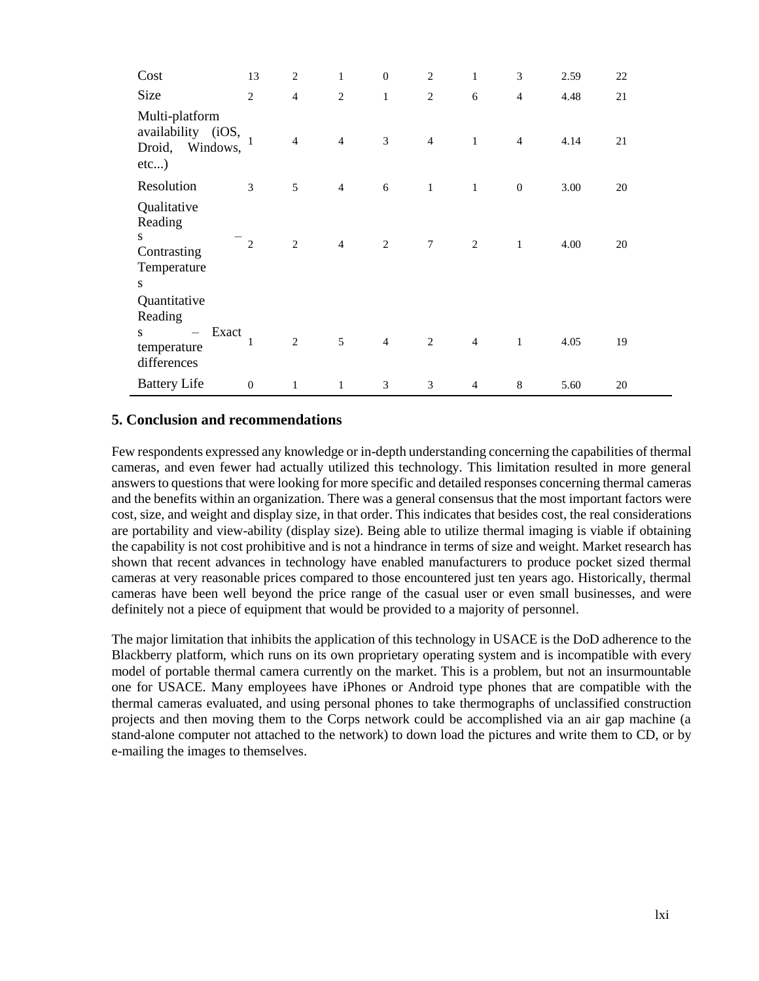| Cost                                                                  | 13               | $\overline{c}$ | $\mathbf{1}$   | $\boldsymbol{0}$ | $\overline{2}$  | $\mathbf{1}$   | 3              | 2.59 | 22 |
|-----------------------------------------------------------------------|------------------|----------------|----------------|------------------|-----------------|----------------|----------------|------|----|
| Size                                                                  | $\overline{2}$   | $\overline{4}$ | $\overline{c}$ | $\mathbf{1}$     | $\overline{c}$  | 6              | $\overline{4}$ | 4.48 | 21 |
| Multi-platform<br>availability (iOS,<br>Windows,<br>Droid,<br>$etc$ ) |                  | $\overline{4}$ | $\overline{4}$ | 3                | $\overline{4}$  | $\mathbf{1}$   | $\overline{4}$ | 4.14 | 21 |
| Resolution                                                            | 3                | 5              | $\overline{4}$ | 6                | 1               | $\mathbf{1}$   | $\mathbf{0}$   | 3.00 | 20 |
| Qualitative<br>Reading<br>S.<br>Contrasting<br>Temperature<br>S       | $\overline{2}$   | $\overline{2}$ | $\overline{4}$ | 2                | $7\phantom{.0}$ | $\overline{2}$ | $\mathbf{1}$   | 4.00 | 20 |
| Quantitative<br>Reading                                               |                  |                |                |                  |                 |                |                |      |    |
| Exact<br>S.<br>$-$<br>temperature<br>differences                      | $\mathbf{1}$     | $\overline{c}$ | 5              | $\overline{4}$   | 2               | $\overline{4}$ | $\mathbf{1}$   | 4.05 | 19 |
| <b>Battery Life</b>                                                   | $\boldsymbol{0}$ | 1              | $\mathbf{1}$   | 3                | 3               | $\overline{4}$ | 8              | 5.60 | 20 |

### **5. Conclusion and recommendations**

Few respondents expressed any knowledge or in-depth understanding concerning the capabilities of thermal cameras, and even fewer had actually utilized this technology. This limitation resulted in more general answers to questions that were looking for more specific and detailed responses concerning thermal cameras and the benefits within an organization. There was a general consensus that the most important factors were cost, size, and weight and display size, in that order. This indicates that besides cost, the real considerations are portability and view-ability (display size). Being able to utilize thermal imaging is viable if obtaining the capability is not cost prohibitive and is not a hindrance in terms of size and weight. Market research has shown that recent advances in technology have enabled manufacturers to produce pocket sized thermal cameras at very reasonable prices compared to those encountered just ten years ago. Historically, thermal cameras have been well beyond the price range of the casual user or even small businesses, and were definitely not a piece of equipment that would be provided to a majority of personnel.

The major limitation that inhibits the application of this technology in USACE is the DoD adherence to the Blackberry platform, which runs on its own proprietary operating system and is incompatible with every model of portable thermal camera currently on the market. This is a problem, but not an insurmountable one for USACE. Many employees have iPhones or Android type phones that are compatible with the thermal cameras evaluated, and using personal phones to take thermographs of unclassified construction projects and then moving them to the Corps network could be accomplished via an air gap machine (a stand-alone computer not attached to the network) to down load the pictures and write them to CD, or by e-mailing the images to themselves.